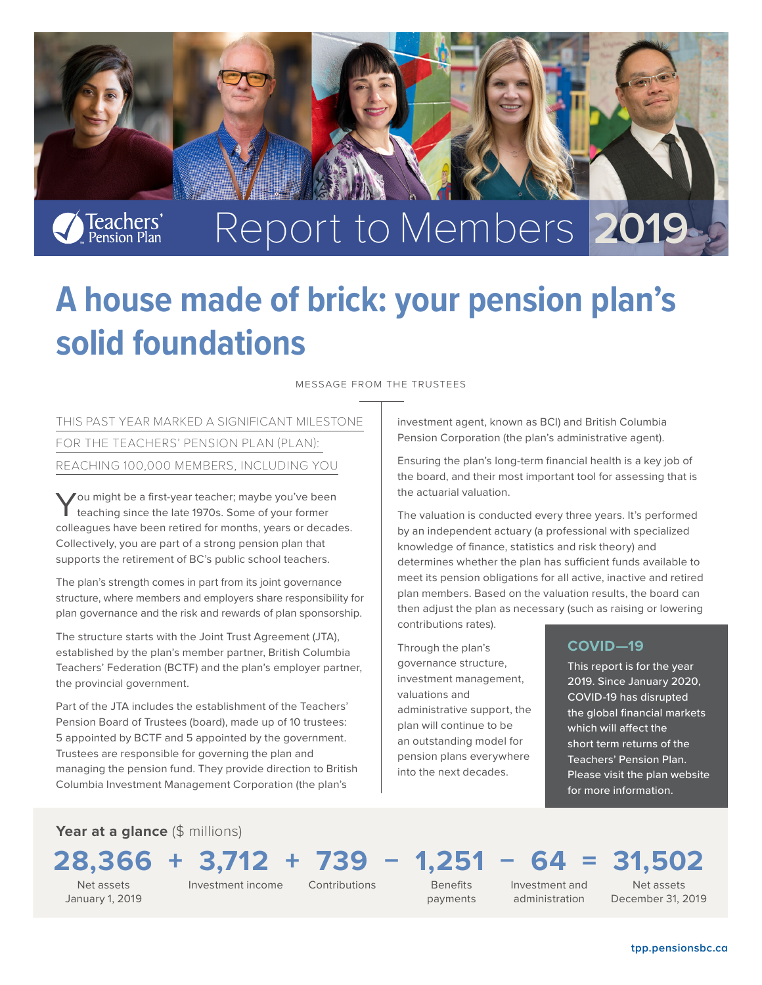

# **A house made of brick: your pension plan's solid foundations**

Message from the trustees

THIS PAST YEAR MARKED A SIGNIFICANT MILESTONE FOR THE TEACHERS' PENSION PLAN (PLAN): REACHING 100,000 MEMBERS, INCLUDING YOU

You might be a first-year teacher; maybe you've been teaching since the late 1970s. Some of your former colleagues have been retired for months, years or decades. Collectively, you are part of a strong pension plan that supports the retirement of BC's public school teachers.

The plan's strength comes in part from its joint governance structure, where members and employers share responsibility for plan governance and the risk and rewards of plan sponsorship.

The structure starts with the Joint Trust Agreement (JTA), established by the plan's member partner, British Columbia Teachers' Federation (BCTF) and the plan's employer partner, the provincial government.

Part of the JTA includes the establishment of the Teachers' Pension Board of Trustees (board), made up of 10 trustees: 5 appointed by BCTF and 5 appointed by the government. Trustees are responsible for governing the plan and managing the pension fund. They provide direction to British Columbia Investment Management Corporation (the plan's

investment agent, known as BCI) and British Columbia Pension Corporation (the plan's administrative agent).

Ensuring the plan's long-term financial health is a key job of the board, and their most important tool for assessing that is the actuarial valuation.

The valuation is conducted every three years. It's performed by an independent actuary (a professional with specialized knowledge of finance, statistics and risk theory) and determines whether the plan has sufficient funds available to meet its pension obligations for all active, inactive and retired plan members. Based on the valuation results, the board can then adjust the plan as necessary (such as raising or lowering contributions rates).

Through the plan's governance structure, investment management, valuations and administrative support, the plan will continue to be an outstanding model for pension plans everywhere into the next decades.

#### **COVID—19**

This report is for the year 2019. Since January 2020, COVID-19 has disrupted the global financial markets which will affect the short term returns of the Teachers' Pension Plan. Please visit the plan website for more information.

Year at a glance (\$ millions)

# **28,366** + **3,712** + **739** − **1,251** − **64** = **31,502**

Net assets January 1, 2019 Investment income Contributions

Benefits

payments

Investment and administration

Net assets December 31, 2019